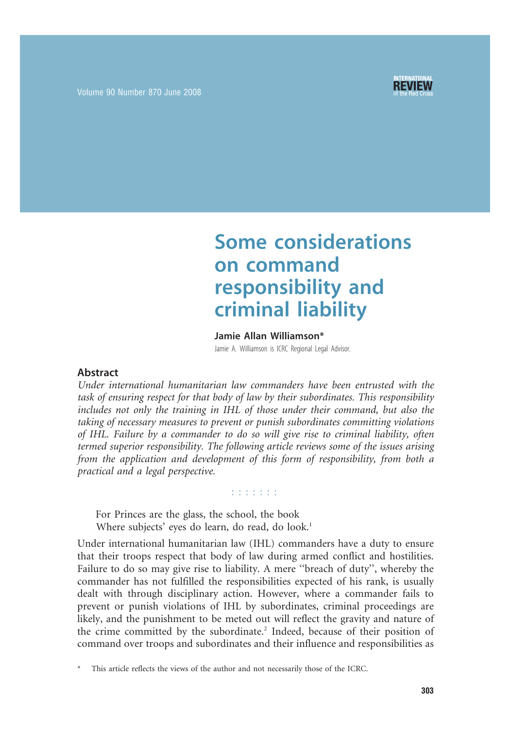



# Some considerations on command responsibility and criminal liability

#### Jamie Allan Williamson\*

Jamie A. Williamson is ICRC Regional Legal Advisor.

#### Abstract

Under international humanitarian law commanders have been entrusted with the task of ensuring respect for that body of law by their subordinates. This responsibility includes not only the training in IHL of those under their command, but also the taking of necessary measures to prevent or punish subordinates committing violations of IHL. Failure by a commander to do so will give rise to criminal liability, often termed superior responsibility. The following article reviews some of the issues arising from the application and development of this form of responsibility, from both a practical and a legal perspective.

n na na na

For Princes are the glass, the school, the book Where subjects' eyes do learn, do read, do look.<sup>1</sup>

Under international humanitarian law (IHL) commanders have a duty to ensure that their troops respect that body of law during armed conflict and hostilities. Failure to do so may give rise to liability. A mere ''breach of duty'', whereby the commander has not fulfilled the responsibilities expected of his rank, is usually dealt with through disciplinary action. However, where a commander fails to prevent or punish violations of IHL by subordinates, criminal proceedings are likely, and the punishment to be meted out will reflect the gravity and nature of the crime committed by the subordinate.<sup>2</sup> Indeed, because of their position of command over troops and subordinates and their influence and responsibilities as

This article reflects the views of the author and not necessarily those of the ICRC.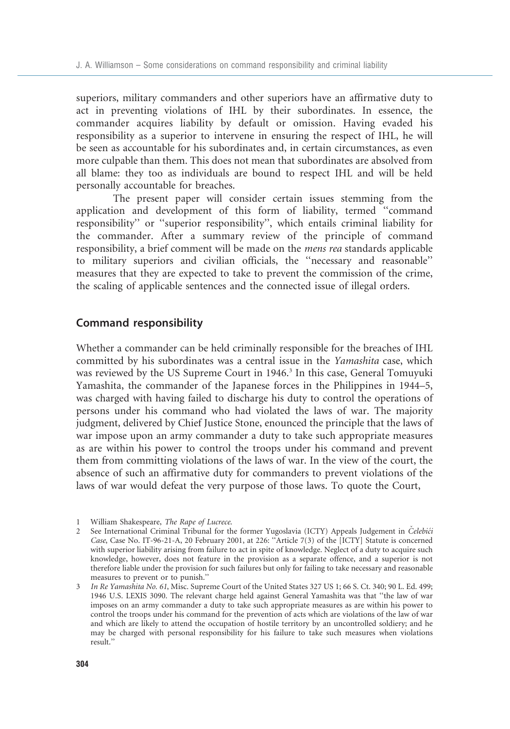superiors, military commanders and other superiors have an affirmative duty to act in preventing violations of IHL by their subordinates. In essence, the commander acquires liability by default or omission. Having evaded his responsibility as a superior to intervene in ensuring the respect of IHL, he will be seen as accountable for his subordinates and, in certain circumstances, as even more culpable than them. This does not mean that subordinates are absolved from all blame: they too as individuals are bound to respect IHL and will be held personally accountable for breaches.

The present paper will consider certain issues stemming from the application and development of this form of liability, termed ''command responsibility'' or ''superior responsibility'', which entails criminal liability for the commander. After a summary review of the principle of command responsibility, a brief comment will be made on the mens rea standards applicable to military superiors and civilian officials, the ''necessary and reasonable'' measures that they are expected to take to prevent the commission of the crime, the scaling of applicable sentences and the connected issue of illegal orders.

## Command responsibility

Whether a commander can be held criminally responsible for the breaches of IHL committed by his subordinates was a central issue in the Yamashita case, which was reviewed by the US Supreme Court in 1946.<sup>3</sup> In this case, General Tomuyuki Yamashita, the commander of the Japanese forces in the Philippines in 1944–5, was charged with having failed to discharge his duty to control the operations of persons under his command who had violated the laws of war. The majority judgment, delivered by Chief Justice Stone, enounced the principle that the laws of war impose upon an army commander a duty to take such appropriate measures as are within his power to control the troops under his command and prevent them from committing violations of the laws of war. In the view of the court, the absence of such an affirmative duty for commanders to prevent violations of the laws of war would defeat the very purpose of those laws. To quote the Court,

<sup>1</sup> William Shakespeare, The Rape of Lucrece.

<sup>2</sup> See International Criminal Tribunal for the former Yugoslavia (ICTY) Appeals Judgement in Celebici Case, Case No. IT-96-21-A, 20 February 2001, at 226: ''Article 7(3) of the [ICTY] Statute is concerned with superior liability arising from failure to act in spite of knowledge. Neglect of a duty to acquire such knowledge, however, does not feature in the provision as a separate offence, and a superior is not therefore liable under the provision for such failures but only for failing to take necessary and reasonable measures to prevent or to punish.''

<sup>3</sup> In Re Yamashita No. 61, Misc. Supreme Court of the United States 327 US 1; 66 S. Ct. 340; 90 L. Ed. 499; 1946 U.S. LEXIS 3090. The relevant charge held against General Yamashita was that ''the law of war imposes on an army commander a duty to take such appropriate measures as are within his power to control the troops under his command for the prevention of acts which are violations of the law of war and which are likely to attend the occupation of hostile territory by an uncontrolled soldiery; and he may be charged with personal responsibility for his failure to take such measures when violations result.''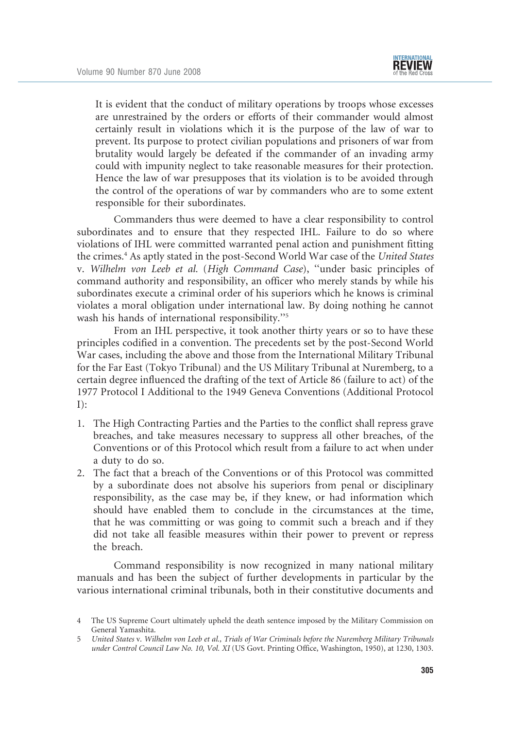It is evident that the conduct of military operations by troops whose excesses are unrestrained by the orders or efforts of their commander would almost certainly result in violations which it is the purpose of the law of war to prevent. Its purpose to protect civilian populations and prisoners of war from brutality would largely be defeated if the commander of an invading army could with impunity neglect to take reasonable measures for their protection. Hence the law of war presupposes that its violation is to be avoided through the control of the operations of war by commanders who are to some extent responsible for their subordinates.

Commanders thus were deemed to have a clear responsibility to control subordinates and to ensure that they respected IHL. Failure to do so where violations of IHL were committed warranted penal action and punishment fitting the crimes.4 As aptly stated in the post-Second World War case of the United States v. Wilhelm von Leeb et al. (High Command Case), ''under basic principles of command authority and responsibility, an officer who merely stands by while his subordinates execute a criminal order of his superiors which he knows is criminal violates a moral obligation under international law. By doing nothing he cannot wash his hands of international responsibility.''5

From an IHL perspective, it took another thirty years or so to have these principles codified in a convention. The precedents set by the post-Second World War cases, including the above and those from the International Military Tribunal for the Far East (Tokyo Tribunal) and the US Military Tribunal at Nuremberg, to a certain degree influenced the drafting of the text of Article 86 (failure to act) of the 1977 Protocol I Additional to the 1949 Geneva Conventions (Additional Protocol  $I)$ :

- 1. The High Contracting Parties and the Parties to the conflict shall repress grave breaches, and take measures necessary to suppress all other breaches, of the Conventions or of this Protocol which result from a failure to act when under a duty to do so.
- 2. The fact that a breach of the Conventions or of this Protocol was committed by a subordinate does not absolve his superiors from penal or disciplinary responsibility, as the case may be, if they knew, or had information which should have enabled them to conclude in the circumstances at the time, that he was committing or was going to commit such a breach and if they did not take all feasible measures within their power to prevent or repress the breach.

Command responsibility is now recognized in many national military manuals and has been the subject of further developments in particular by the various international criminal tribunals, both in their constitutive documents and

<sup>4</sup> The US Supreme Court ultimately upheld the death sentence imposed by the Military Commission on General Yamashita.

<sup>5</sup> United States v. Wilhelm von Leeb et al., Trials of War Criminals before the Nuremberg Military Tribunals under Control Council Law No. 10, Vol. XI (US Govt. Printing Office, Washington, 1950), at 1230, 1303.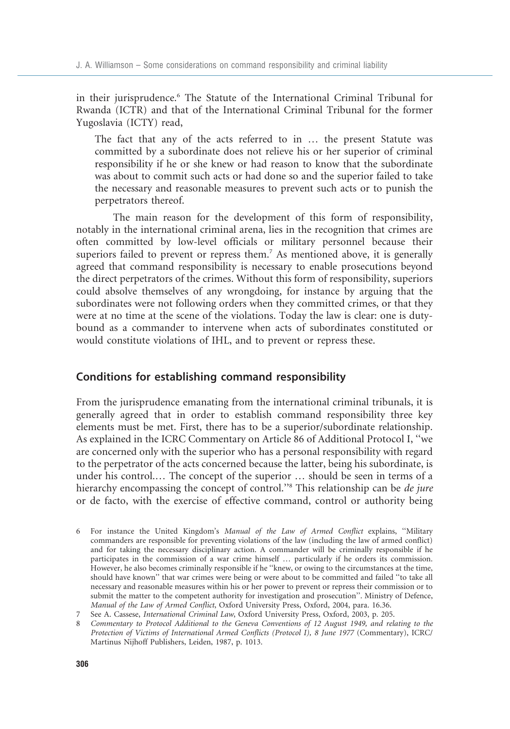in their jurisprudence.<sup>6</sup> The Statute of the International Criminal Tribunal for Rwanda (ICTR) and that of the International Criminal Tribunal for the former Yugoslavia (ICTY) read,

The fact that any of the acts referred to in … the present Statute was committed by a subordinate does not relieve his or her superior of criminal responsibility if he or she knew or had reason to know that the subordinate was about to commit such acts or had done so and the superior failed to take the necessary and reasonable measures to prevent such acts or to punish the perpetrators thereof.

The main reason for the development of this form of responsibility, notably in the international criminal arena, lies in the recognition that crimes are often committed by low-level officials or military personnel because their superiors failed to prevent or repress them.<sup>7</sup> As mentioned above, it is generally agreed that command responsibility is necessary to enable prosecutions beyond the direct perpetrators of the crimes. Without this form of responsibility, superiors could absolve themselves of any wrongdoing, for instance by arguing that the subordinates were not following orders when they committed crimes, or that they were at no time at the scene of the violations. Today the law is clear: one is dutybound as a commander to intervene when acts of subordinates constituted or would constitute violations of IHL, and to prevent or repress these.

### Conditions for establishing command responsibility

From the jurisprudence emanating from the international criminal tribunals, it is generally agreed that in order to establish command responsibility three key elements must be met. First, there has to be a superior/subordinate relationship. As explained in the ICRC Commentary on Article 86 of Additional Protocol I, ''we are concerned only with the superior who has a personal responsibility with regard to the perpetrator of the acts concerned because the latter, being his subordinate, is under his control.… The concept of the superior … should be seen in terms of a hierarchy encompassing the concept of control."<sup>8</sup> This relationship can be *de jure* or de facto, with the exercise of effective command, control or authority being

- 6 For instance the United Kingdom's Manual of the Law of Armed Conflict explains, ''Military commanders are responsible for preventing violations of the law (including the law of armed conflict) and for taking the necessary disciplinary action. A commander will be criminally responsible if he participates in the commission of a war crime himself … particularly if he orders its commission. However, he also becomes criminally responsible if he ''knew, or owing to the circumstances at the time, should have known'' that war crimes were being or were about to be committed and failed ''to take all necessary and reasonable measures within his or her power to prevent or repress their commission or to submit the matter to the competent authority for investigation and prosecution''. Ministry of Defence, Manual of the Law of Armed Conflict, Oxford University Press, Oxford, 2004, para. 16.36.
- 7 See A. Cassese, International Criminal Law, Oxford University Press, Oxford, 2003, p. 205.

8 Commentary to Protocol Additional to the Geneva Conventions of 12 August 1949, and relating to the Protection of Victims of International Armed Conflicts (Protocol I), 8 June 1977 (Commentary), ICRC/ Martinus Nijhoff Publishers, Leiden, 1987, p. 1013.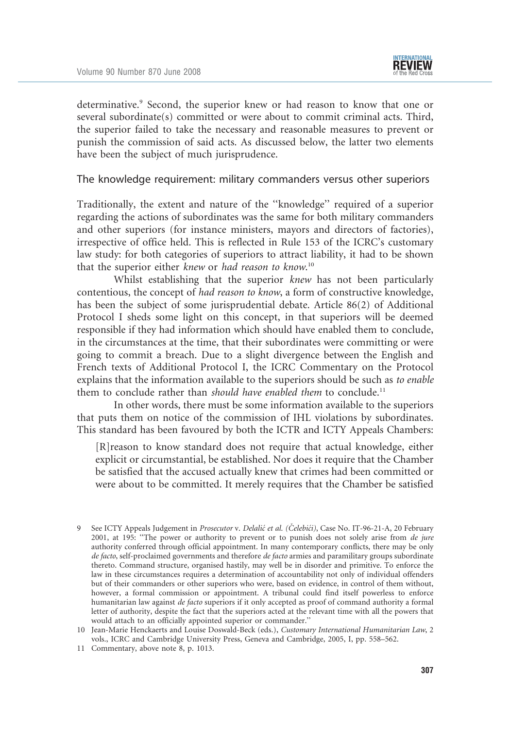determinative.<sup>9</sup> Second, the superior knew or had reason to know that one or several subordinate(s) committed or were about to commit criminal acts. Third, the superior failed to take the necessary and reasonable measures to prevent or punish the commission of said acts. As discussed below, the latter two elements have been the subject of much jurisprudence.

The knowledge requirement: military commanders versus other superiors

Traditionally, the extent and nature of the ''knowledge'' required of a superior regarding the actions of subordinates was the same for both military commanders and other superiors (for instance ministers, mayors and directors of factories), irrespective of office held. This is reflected in Rule 153 of the ICRC's customary law study: for both categories of superiors to attract liability, it had to be shown that the superior either knew or had reason to know.<sup>10</sup>

Whilst establishing that the superior knew has not been particularly contentious, the concept of had reason to know, a form of constructive knowledge, has been the subject of some jurisprudential debate. Article 86(2) of Additional Protocol I sheds some light on this concept, in that superiors will be deemed responsible if they had information which should have enabled them to conclude, in the circumstances at the time, that their subordinates were committing or were going to commit a breach. Due to a slight divergence between the English and French texts of Additional Protocol I, the ICRC Commentary on the Protocol explains that the information available to the superiors should be such as to enable them to conclude rather than should have enabled them to conclude.<sup>11</sup>

In other words, there must be some information available to the superiors that puts them on notice of the commission of IHL violations by subordinates. This standard has been favoured by both the ICTR and ICTY Appeals Chambers:

[R]reason to know standard does not require that actual knowledge, either explicit or circumstantial, be established. Nor does it require that the Chamber be satisfied that the accused actually knew that crimes had been committed or were about to be committed. It merely requires that the Chamber be satisfied

- 10 Jean-Marie Henckaerts and Louise Doswald-Beck (eds.), Customary International Humanitarian Law, 2 vols., ICRC and Cambridge University Press, Geneva and Cambridge, 2005, I, pp. 558–562.
- 11 Commentary, above note 8, p. 1013.

<sup>9</sup> See ICTY Appeals Judgement in Prosecutor v. Delalić et al. (Čelebići), Case No. IT-96-21-A, 20 February 2001, at 195: ''The power or authority to prevent or to punish does not solely arise from de jure authority conferred through official appointment. In many contemporary conflicts, there may be only de facto, self-proclaimed governments and therefore de facto armies and paramilitary groups subordinate thereto. Command structure, organised hastily, may well be in disorder and primitive. To enforce the law in these circumstances requires a determination of accountability not only of individual offenders but of their commanders or other superiors who were, based on evidence, in control of them without, however, a formal commission or appointment. A tribunal could find itself powerless to enforce humanitarian law against de facto superiors if it only accepted as proof of command authority a formal letter of authority, despite the fact that the superiors acted at the relevant time with all the powers that would attach to an officially appointed superior or commander.''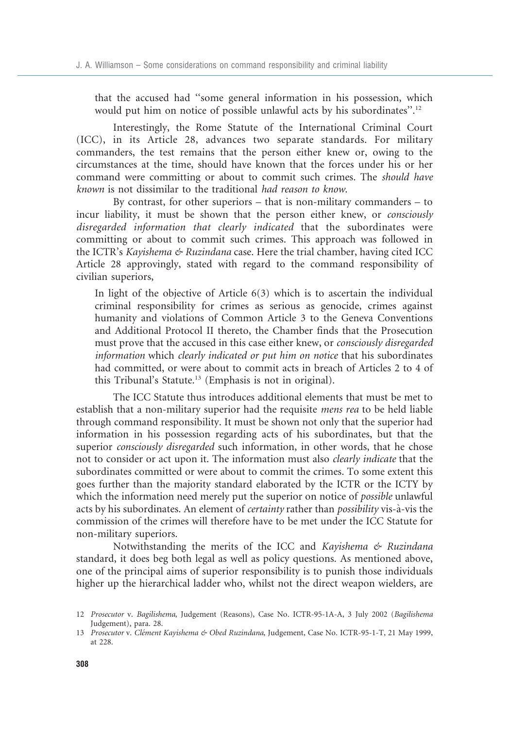that the accused had ''some general information in his possession, which would put him on notice of possible unlawful acts by his subordinates''.12

Interestingly, the Rome Statute of the International Criminal Court (ICC), in its Article 28, advances two separate standards. For military commanders, the test remains that the person either knew or, owing to the circumstances at the time, should have known that the forces under his or her command were committing or about to commit such crimes. The should have known is not dissimilar to the traditional had reason to know.

By contrast, for other superiors – that is non-military commanders – to incur liability, it must be shown that the person either knew, or consciously disregarded information that clearly indicated that the subordinates were committing or about to commit such crimes. This approach was followed in the ICTR's Kayishema & Ruzindana case. Here the trial chamber, having cited ICC Article 28 approvingly, stated with regard to the command responsibility of civilian superiors,

In light of the objective of Article 6(3) which is to ascertain the individual criminal responsibility for crimes as serious as genocide, crimes against humanity and violations of Common Article 3 to the Geneva Conventions and Additional Protocol II thereto, the Chamber finds that the Prosecution must prove that the accused in this case either knew, or consciously disregarded information which clearly indicated or put him on notice that his subordinates had committed, or were about to commit acts in breach of Articles 2 to 4 of this Tribunal's Statute.13 (Emphasis is not in original).

The ICC Statute thus introduces additional elements that must be met to establish that a non-military superior had the requisite mens rea to be held liable through command responsibility. It must be shown not only that the superior had information in his possession regarding acts of his subordinates, but that the superior *consciously disregarded* such information, in other words, that he chose not to consider or act upon it. The information must also *clearly indicate* that the subordinates committed or were about to commit the crimes. To some extent this goes further than the majority standard elaborated by the ICTR or the ICTY by which the information need merely put the superior on notice of *possible* unlawful acts by his subordinates. An element of *certainty* rather than *possibility* vis-à-vis the commission of the crimes will therefore have to be met under the ICC Statute for non-military superiors.

Notwithstanding the merits of the ICC and Kayishema & Ruzindana standard, it does beg both legal as well as policy questions. As mentioned above, one of the principal aims of superior responsibility is to punish those individuals higher up the hierarchical ladder who, whilst not the direct weapon wielders, are

<sup>12</sup> Prosecutor v. Bagilishema, Judgement (Reasons), Case No. ICTR-95-1A-A, 3 July 2002 (Bagilishema Judgement), para. 28.

<sup>13</sup> Prosecutor v. Clément Kayishema & Obed Ruzindana, Judgement, Case No. ICTR-95-1-T, 21 May 1999, at 228.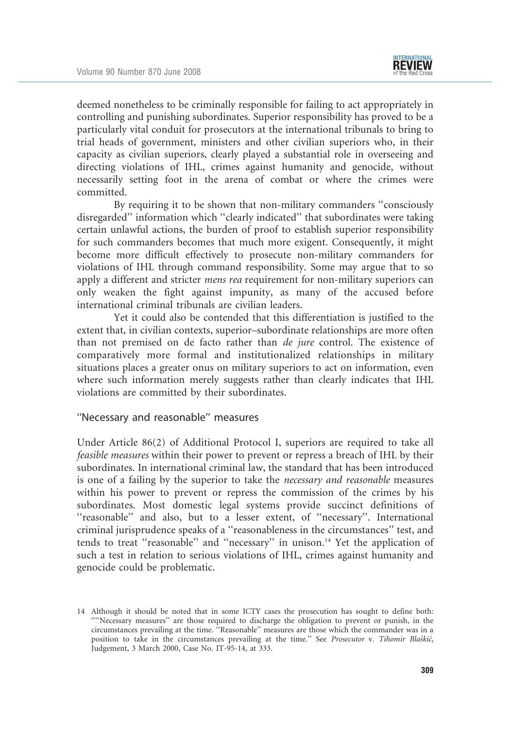deemed nonetheless to be criminally responsible for failing to act appropriately in controlling and punishing subordinates. Superior responsibility has proved to be a particularly vital conduit for prosecutors at the international tribunals to bring to trial heads of government, ministers and other civilian superiors who, in their capacity as civilian superiors, clearly played a substantial role in overseeing and directing violations of IHL, crimes against humanity and genocide, without necessarily setting foot in the arena of combat or where the crimes were committed.

By requiring it to be shown that non-military commanders ''consciously disregarded'' information which ''clearly indicated'' that subordinates were taking certain unlawful actions, the burden of proof to establish superior responsibility for such commanders becomes that much more exigent. Consequently, it might become more difficult effectively to prosecute non-military commanders for violations of IHL through command responsibility. Some may argue that to so apply a different and stricter mens rea requirement for non-military superiors can only weaken the fight against impunity, as many of the accused before international criminal tribunals are civilian leaders.

Yet it could also be contended that this differentiation is justified to the extent that, in civilian contexts, superior–subordinate relationships are more often than not premised on de facto rather than de jure control. The existence of comparatively more formal and institutionalized relationships in military situations places a greater onus on military superiors to act on information, even where such information merely suggests rather than clearly indicates that IHL violations are committed by their subordinates.

#### ''Necessary and reasonable'' measures

Under Article 86(2) of Additional Protocol I, superiors are required to take all feasible measures within their power to prevent or repress a breach of IHL by their subordinates. In international criminal law, the standard that has been introduced is one of a failing by the superior to take the necessary and reasonable measures within his power to prevent or repress the commission of the crimes by his subordinates. Most domestic legal systems provide succinct definitions of "reasonable" and also, but to a lesser extent, of "necessary". International criminal jurisprudence speaks of a ''reasonableness in the circumstances'' test, and tends to treat "reasonable" and "necessary" in unison.<sup>14</sup> Yet the application of such a test in relation to serious violations of IHL, crimes against humanity and genocide could be problematic.

<sup>14</sup> Although it should be noted that in some ICTY cases the prosecution has sought to define both: ''''Necessary measures'' are those required to discharge the obligation to prevent or punish, in the circumstances prevailing at the time. ''Reasonable'' measures are those which the commander was in a position to take in the circumstances prevailing at the time." See Prosecutor v. Tihomir Blaškić, Judgement, 3 March 2000, Case No. IT-95-14, at 333.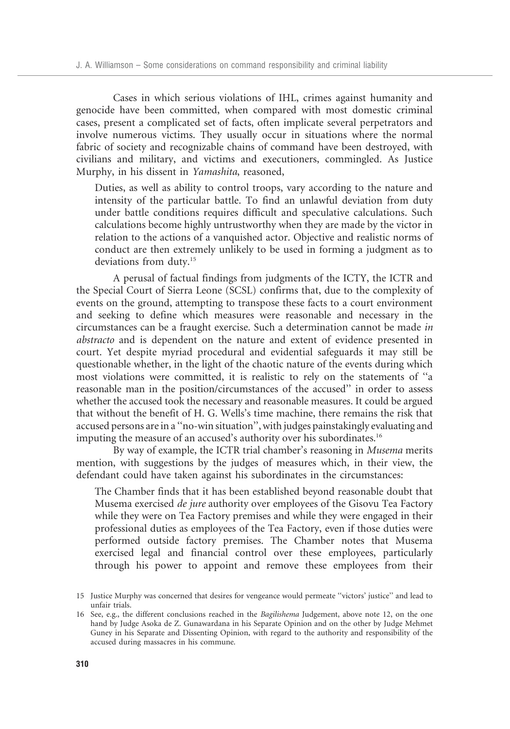Cases in which serious violations of IHL, crimes against humanity and genocide have been committed, when compared with most domestic criminal cases, present a complicated set of facts, often implicate several perpetrators and involve numerous victims. They usually occur in situations where the normal fabric of society and recognizable chains of command have been destroyed, with civilians and military, and victims and executioners, commingled. As Justice Murphy, in his dissent in Yamashita, reasoned,

Duties, as well as ability to control troops, vary according to the nature and intensity of the particular battle. To find an unlawful deviation from duty under battle conditions requires difficult and speculative calculations. Such calculations become highly untrustworthy when they are made by the victor in relation to the actions of a vanquished actor. Objective and realistic norms of conduct are then extremely unlikely to be used in forming a judgment as to deviations from duty.15

A perusal of factual findings from judgments of the ICTY, the ICTR and the Special Court of Sierra Leone (SCSL) confirms that, due to the complexity of events on the ground, attempting to transpose these facts to a court environment and seeking to define which measures were reasonable and necessary in the circumstances can be a fraught exercise. Such a determination cannot be made in abstracto and is dependent on the nature and extent of evidence presented in court. Yet despite myriad procedural and evidential safeguards it may still be questionable whether, in the light of the chaotic nature of the events during which most violations were committed, it is realistic to rely on the statements of ''a reasonable man in the position/circumstances of the accused'' in order to assess whether the accused took the necessary and reasonable measures. It could be argued that without the benefit of H. G. Wells's time machine, there remains the risk that accused persons are in a ''no-win situation'', with judges painstakingly evaluating and imputing the measure of an accused's authority over his subordinates.<sup>16</sup>

By way of example, the ICTR trial chamber's reasoning in Musema merits mention, with suggestions by the judges of measures which, in their view, the defendant could have taken against his subordinates in the circumstances:

The Chamber finds that it has been established beyond reasonable doubt that Musema exercised de jure authority over employees of the Gisovu Tea Factory while they were on Tea Factory premises and while they were engaged in their professional duties as employees of the Tea Factory, even if those duties were performed outside factory premises. The Chamber notes that Musema exercised legal and financial control over these employees, particularly through his power to appoint and remove these employees from their

<sup>15</sup> Justice Murphy was concerned that desires for vengeance would permeate ''victors' justice'' and lead to unfair trials.

<sup>16</sup> See, e.g., the different conclusions reached in the Bagilishema Judgement, above note 12, on the one hand by Judge Asoka de Z. Gunawardana in his Separate Opinion and on the other by Judge Mehmet Guney in his Separate and Dissenting Opinion, with regard to the authority and responsibility of the accused during massacres in his commune.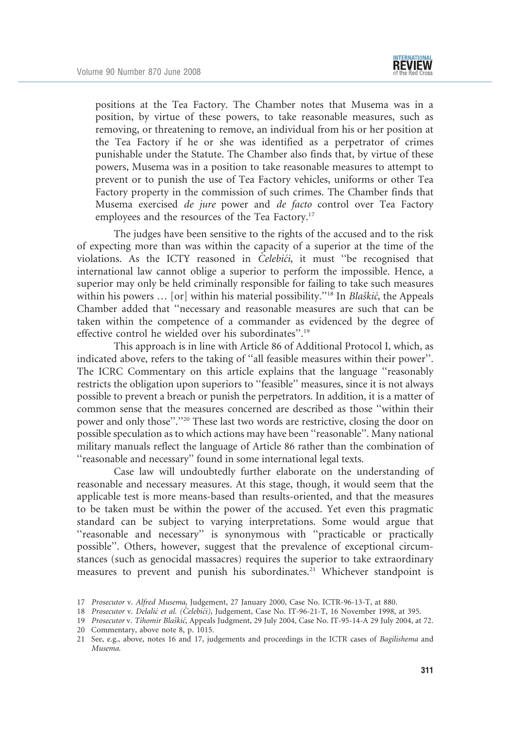

positions at the Tea Factory. The Chamber notes that Musema was in a position, by virtue of these powers, to take reasonable measures, such as removing, or threatening to remove, an individual from his or her position at the Tea Factory if he or she was identified as a perpetrator of crimes punishable under the Statute. The Chamber also finds that, by virtue of these powers, Musema was in a position to take reasonable measures to attempt to prevent or to punish the use of Tea Factory vehicles, uniforms or other Tea Factory property in the commission of such crimes. The Chamber finds that Musema exercised de jure power and de facto control over Tea Factory employees and the resources of the Tea Factory.<sup>17</sup>

The judges have been sensitive to the rights of the accused and to the risk of expecting more than was within the capacity of a superior at the time of the violations. As the ICTY reasoned in  $\check{C}elebi\acute{c}i$ , it must "be recognised that international law cannot oblige a superior to perform the impossible. Hence, a superior may only be held criminally responsible for failing to take such measures within his powers ... [or] within his material possibility."<sup>18</sup> In *Blaškić*, the Appeals Chamber added that ''necessary and reasonable measures are such that can be taken within the competence of a commander as evidenced by the degree of effective control he wielded over his subordinates''.19

This approach is in line with Article 86 of Additional Protocol I, which, as indicated above, refers to the taking of ''all feasible measures within their power''. The ICRC Commentary on this article explains that the language ''reasonably restricts the obligation upon superiors to ''feasible'' measures, since it is not always possible to prevent a breach or punish the perpetrators. In addition, it is a matter of common sense that the measures concerned are described as those ''within their power and only those''.''20 These last two words are restrictive, closing the door on possible speculation as to which actions may have been ''reasonable''. Many national military manuals reflect the language of Article 86 rather than the combination of ''reasonable and necessary'' found in some international legal texts.

Case law will undoubtedly further elaborate on the understanding of reasonable and necessary measures. At this stage, though, it would seem that the applicable test is more means-based than results-oriented, and that the measures to be taken must be within the power of the accused. Yet even this pragmatic standard can be subject to varying interpretations. Some would argue that "reasonable and necessary" is synonymous with "practicable or practically possible''. Others, however, suggest that the prevalence of exceptional circumstances (such as genocidal massacres) requires the superior to take extraordinary measures to prevent and punish his subordinates.<sup>21</sup> Whichever standpoint is

<sup>17</sup> Prosecutor v. Alfred Musema, Judgement, 27 January 2000, Case No. ICTR-96-13-T, at 880.

<sup>18</sup> Prosecutor v. Delalić et al. (Čelebići), Judgement, Case No. IT-96-21-T, 16 November 1998, at 395.

<sup>19</sup> Prosecutor v. Tihomir Blaškić, Appeals Judgment, 29 July 2004, Case No. IT-95-14-A 29 July 2004, at 72. 20 Commentary, above note 8, p. 1015.

<sup>21</sup> See, e.g., above, notes 16 and 17, judgements and proceedings in the ICTR cases of Bagilishema and Musema.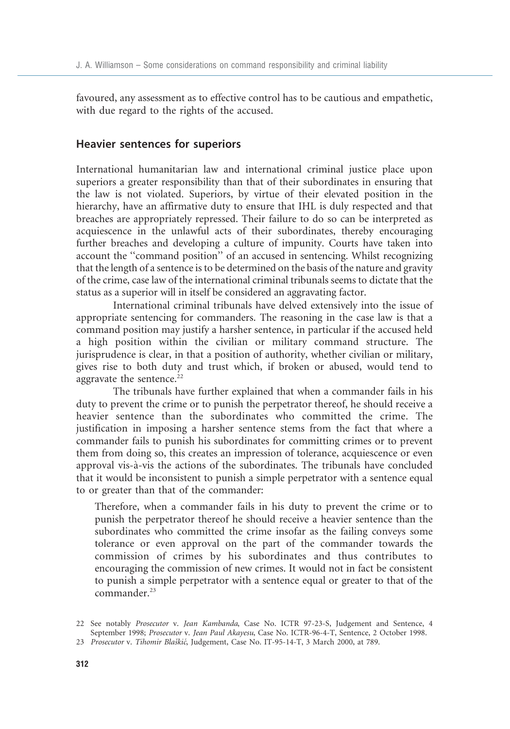favoured, any assessment as to effective control has to be cautious and empathetic, with due regard to the rights of the accused.

#### Heavier sentences for superiors

International humanitarian law and international criminal justice place upon superiors a greater responsibility than that of their subordinates in ensuring that the law is not violated. Superiors, by virtue of their elevated position in the hierarchy, have an affirmative duty to ensure that IHL is duly respected and that breaches are appropriately repressed. Their failure to do so can be interpreted as acquiescence in the unlawful acts of their subordinates, thereby encouraging further breaches and developing a culture of impunity. Courts have taken into account the ''command position'' of an accused in sentencing. Whilst recognizing that the length of a sentence is to be determined on the basis of the nature and gravity of the crime, case law of the international criminal tribunals seems to dictate that the status as a superior will in itself be considered an aggravating factor.

International criminal tribunals have delved extensively into the issue of appropriate sentencing for commanders. The reasoning in the case law is that a command position may justify a harsher sentence, in particular if the accused held a high position within the civilian or military command structure. The jurisprudence is clear, in that a position of authority, whether civilian or military, gives rise to both duty and trust which, if broken or abused, would tend to aggravate the sentence. $22$ 

The tribunals have further explained that when a commander fails in his duty to prevent the crime or to punish the perpetrator thereof, he should receive a heavier sentence than the subordinates who committed the crime. The justification in imposing a harsher sentence stems from the fact that where a commander fails to punish his subordinates for committing crimes or to prevent them from doing so, this creates an impression of tolerance, acquiescence or even approval vis-a`-vis the actions of the subordinates. The tribunals have concluded that it would be inconsistent to punish a simple perpetrator with a sentence equal to or greater than that of the commander:

Therefore, when a commander fails in his duty to prevent the crime or to punish the perpetrator thereof he should receive a heavier sentence than the subordinates who committed the crime insofar as the failing conveys some tolerance or even approval on the part of the commander towards the commission of crimes by his subordinates and thus contributes to encouraging the commission of new crimes. It would not in fact be consistent to punish a simple perpetrator with a sentence equal or greater to that of the commander.<sup>23</sup>

<sup>22</sup> See notably Prosecutor v. Jean Kambanda, Case No. ICTR 97-23-S, Judgement and Sentence, 4 September 1998; Prosecutor v. Jean Paul Akayesu, Case No. ICTR-96-4-T, Sentence, 2 October 1998.

<sup>23</sup> Prosecutor v. Tihomir Blaškić, Judgement, Case No. IT-95-14-T, 3 March 2000, at 789.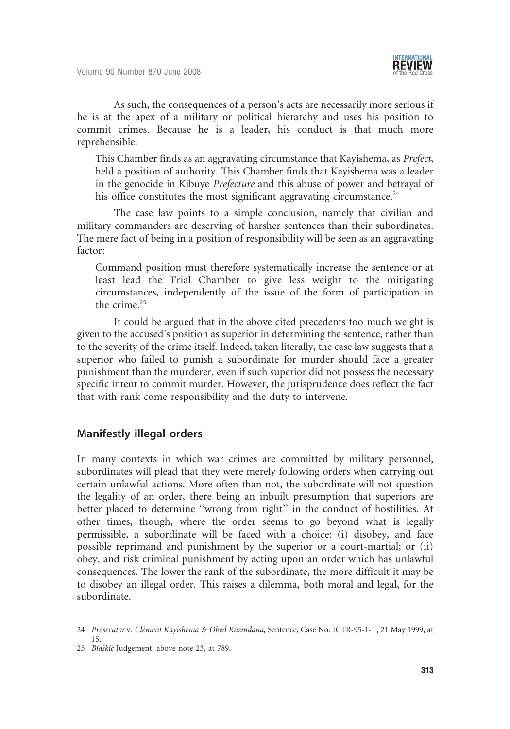As such, the consequences of a person's acts are necessarily more serious if he is at the apex of a military or political hierarchy and uses his position to commit crimes. Because he is a leader, his conduct is that much more reprehensible:

This Chamber finds as an aggravating circumstance that Kayishema, as Prefect, held a position of authority. This Chamber finds that Kayishema was a leader in the genocide in Kibuye Prefecture and this abuse of power and betrayal of his office constitutes the most significant aggravating circumstance. $24$ 

The case law points to a simple conclusion, namely that civilian and military commanders are deserving of harsher sentences than their subordinates. The mere fact of being in a position of responsibility will be seen as an aggravating factor:

Command position must therefore systematically increase the sentence or at least lead the Trial Chamber to give less weight to the mitigating circumstances, independently of the issue of the form of participation in the crime.<sup>25</sup>

It could be argued that in the above cited precedents too much weight is given to the accused's position as superior in determining the sentence, rather than to the severity of the crime itself. Indeed, taken literally, the case law suggests that a superior who failed to punish a subordinate for murder should face a greater punishment than the murderer, even if such superior did not possess the necessary specific intent to commit murder. However, the jurisprudence does reflect the fact that with rank come responsibility and the duty to intervene.

## Manifestly illegal orders

In many contexts in which war crimes are committed by military personnel, subordinates will plead that they were merely following orders when carrying out certain unlawful actions. More often than not, the subordinate will not question the legality of an order, there being an inbuilt presumption that superiors are better placed to determine ''wrong from right'' in the conduct of hostilities. At other times, though, where the order seems to go beyond what is legally permissible, a subordinate will be faced with a choice: (i) disobey, and face possible reprimand and punishment by the superior or a court-martial; or (ii) obey, and risk criminal punishment by acting upon an order which has unlawful consequences. The lower the rank of the subordinate, the more difficult it may be to disobey an illegal order. This raises a dilemma, both moral and legal, for the subordinate.

<sup>24</sup> Prosecutor v. Clément Kayishema & Obed Ruzindana, Sentence, Case No. ICTR-95-1-T, 21 May 1999, at 15.

<sup>25</sup> Blaškić Judgement, above note 23, at 789.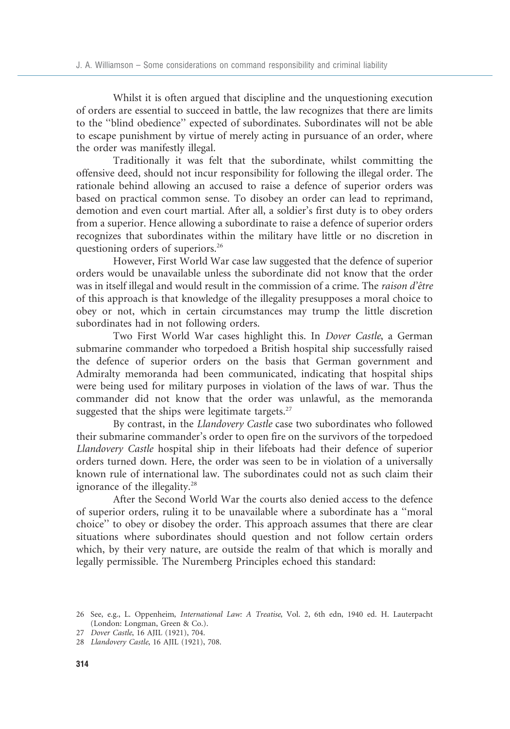Whilst it is often argued that discipline and the unquestioning execution of orders are essential to succeed in battle, the law recognizes that there are limits to the ''blind obedience'' expected of subordinates. Subordinates will not be able to escape punishment by virtue of merely acting in pursuance of an order, where the order was manifestly illegal.

Traditionally it was felt that the subordinate, whilst committing the offensive deed, should not incur responsibility for following the illegal order. The rationale behind allowing an accused to raise a defence of superior orders was based on practical common sense. To disobey an order can lead to reprimand, demotion and even court martial. After all, a soldier's first duty is to obey orders from a superior. Hence allowing a subordinate to raise a defence of superior orders recognizes that subordinates within the military have little or no discretion in questioning orders of superiors.<sup>26</sup>

However, First World War case law suggested that the defence of superior orders would be unavailable unless the subordinate did not know that the order was in itself illegal and would result in the commission of a crime. The raison d'être of this approach is that knowledge of the illegality presupposes a moral choice to obey or not, which in certain circumstances may trump the little discretion subordinates had in not following orders.

Two First World War cases highlight this. In Dover Castle, a German submarine commander who torpedoed a British hospital ship successfully raised the defence of superior orders on the basis that German government and Admiralty memoranda had been communicated, indicating that hospital ships were being used for military purposes in violation of the laws of war. Thus the commander did not know that the order was unlawful, as the memoranda suggested that the ships were legitimate targets. $27$ 

By contrast, in the Llandovery Castle case two subordinates who followed their submarine commander's order to open fire on the survivors of the torpedoed Llandovery Castle hospital ship in their lifeboats had their defence of superior orders turned down. Here, the order was seen to be in violation of a universally known rule of international law. The subordinates could not as such claim their ignorance of the illegality.<sup>28</sup>

After the Second World War the courts also denied access to the defence of superior orders, ruling it to be unavailable where a subordinate has a ''moral choice'' to obey or disobey the order. This approach assumes that there are clear situations where subordinates should question and not follow certain orders which, by their very nature, are outside the realm of that which is morally and legally permissible. The Nuremberg Principles echoed this standard:

<sup>26</sup> See, e.g., L. Oppenheim, International Law: A Treatise, Vol. 2, 6th edn, 1940 ed. H. Lauterpacht (London: Longman, Green & Co.).

<sup>27</sup> Dover Castle, 16 AJIL (1921), 704.

<sup>28</sup> Llandovery Castle, 16 AJIL (1921), 708.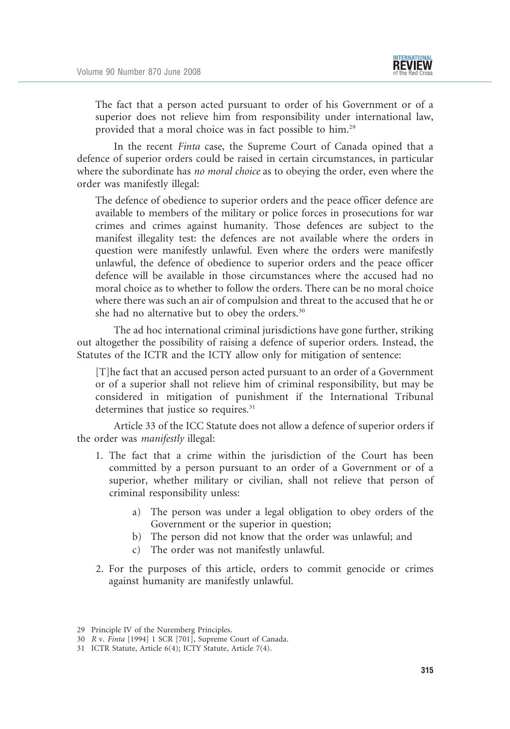

The fact that a person acted pursuant to order of his Government or of a superior does not relieve him from responsibility under international law, provided that a moral choice was in fact possible to him.29

In the recent Finta case, the Supreme Court of Canada opined that a defence of superior orders could be raised in certain circumstances, in particular where the subordinate has no moral choice as to obeying the order, even where the order was manifestly illegal:

The defence of obedience to superior orders and the peace officer defence are available to members of the military or police forces in prosecutions for war crimes and crimes against humanity. Those defences are subject to the manifest illegality test: the defences are not available where the orders in question were manifestly unlawful. Even where the orders were manifestly unlawful, the defence of obedience to superior orders and the peace officer defence will be available in those circumstances where the accused had no moral choice as to whether to follow the orders. There can be no moral choice where there was such an air of compulsion and threat to the accused that he or she had no alternative but to obey the orders.<sup>30</sup>

The ad hoc international criminal jurisdictions have gone further, striking out altogether the possibility of raising a defence of superior orders. Instead, the Statutes of the ICTR and the ICTY allow only for mitigation of sentence:

[T]he fact that an accused person acted pursuant to an order of a Government or of a superior shall not relieve him of criminal responsibility, but may be considered in mitigation of punishment if the International Tribunal determines that justice so requires.<sup>31</sup>

Article 33 of the ICC Statute does not allow a defence of superior orders if the order was manifestly illegal:

- 1. The fact that a crime within the jurisdiction of the Court has been committed by a person pursuant to an order of a Government or of a superior, whether military or civilian, shall not relieve that person of criminal responsibility unless:
	- a) The person was under a legal obligation to obey orders of the Government or the superior in question;
	- b) The person did not know that the order was unlawful; and
	- c) The order was not manifestly unlawful.
- 2. For the purposes of this article, orders to commit genocide or crimes against humanity are manifestly unlawful.

<sup>29</sup> Principle IV of the Nuremberg Principles.

<sup>30</sup> R v. Finta [1994] 1 SCR [701], Supreme Court of Canada.

<sup>31</sup> ICTR Statute, Article 6(4); ICTY Statute, Article 7(4).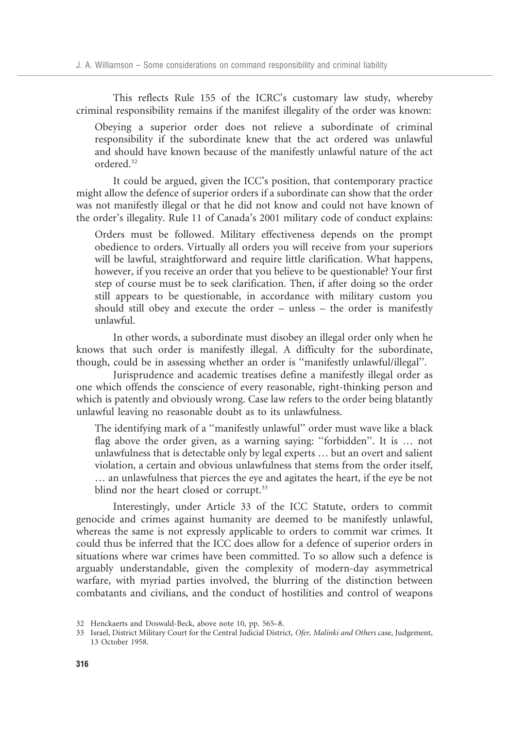This reflects Rule 155 of the ICRC's customary law study, whereby criminal responsibility remains if the manifest illegality of the order was known:

Obeying a superior order does not relieve a subordinate of criminal responsibility if the subordinate knew that the act ordered was unlawful and should have known because of the manifestly unlawful nature of the act ordered.32

It could be argued, given the ICC's position, that contemporary practice might allow the defence of superior orders if a subordinate can show that the order was not manifestly illegal or that he did not know and could not have known of the order's illegality. Rule 11 of Canada's 2001 military code of conduct explains:

Orders must be followed. Military effectiveness depends on the prompt obedience to orders. Virtually all orders you will receive from your superiors will be lawful, straightforward and require little clarification. What happens, however, if you receive an order that you believe to be questionable? Your first step of course must be to seek clarification. Then, if after doing so the order still appears to be questionable, in accordance with military custom you should still obey and execute the order – unless – the order is manifestly unlawful.

In other words, a subordinate must disobey an illegal order only when he knows that such order is manifestly illegal. A difficulty for the subordinate, though, could be in assessing whether an order is ''manifestly unlawful/illegal''.

Jurisprudence and academic treatises define a manifestly illegal order as one which offends the conscience of every reasonable, right-thinking person and which is patently and obviously wrong. Case law refers to the order being blatantly unlawful leaving no reasonable doubt as to its unlawfulness.

The identifying mark of a ''manifestly unlawful'' order must wave like a black flag above the order given, as a warning saying: ''forbidden''. It is … not unlawfulness that is detectable only by legal experts … but an overt and salient violation, a certain and obvious unlawfulness that stems from the order itself, … an unlawfulness that pierces the eye and agitates the heart, if the eye be not blind nor the heart closed or corrupt.<sup>33</sup>

Interestingly, under Article 33 of the ICC Statute, orders to commit genocide and crimes against humanity are deemed to be manifestly unlawful, whereas the same is not expressly applicable to orders to commit war crimes. It could thus be inferred that the ICC does allow for a defence of superior orders in situations where war crimes have been committed. To so allow such a defence is arguably understandable, given the complexity of modern-day asymmetrical warfare, with myriad parties involved, the blurring of the distinction between combatants and civilians, and the conduct of hostilities and control of weapons

<sup>32</sup> Henckaerts and Doswald-Beck, above note 10, pp. 565–8.

<sup>33</sup> Israel, District Military Court for the Central Judicial District, Ofer, Malinki and Others case, Judgement, 13 October 1958.